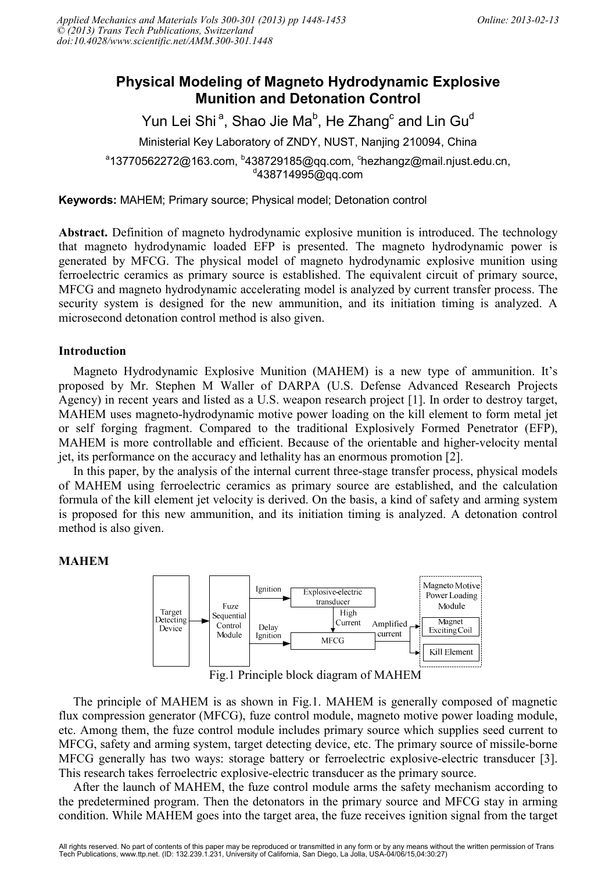# **Physical Modeling of Magneto Hydrodynamic Explosive Munition and Detonation Control**

Yun Lei Shi $^{\sf a}$ , Shao Jie Ma $^{\sf b}$ , He Zhang $^{\sf c}$  and Lin Gu $^{\sf d}$ Ministerial Key Laboratory of ZNDY, NUST, Nanjing 210094, China  $^{\circ}$ 13770562272@163.com,  $^{\circ}$ 438729185@qq.com,  $^{\circ}$ hezhangz@mail.njust.edu.cn,  $d$ 438714995@qq.com

**Keywords:** MAHEM; Primary source; Physical model; Detonation control

**Abstract.** Definition of magneto hydrodynamic explosive munition is introduced. The technology that magneto hydrodynamic loaded EFP is presented. The magneto hydrodynamic power is generated by MFCG. The physical model of magneto hydrodynamic explosive munition using ferroelectric ceramics as primary source is established. The equivalent circuit of primary source, MFCG and magneto hydrodynamic accelerating model is analyzed by current transfer process. The security system is designed for the new ammunition, and its initiation timing is analyzed. A microsecond detonation control method is also given.

## **Introduction**

Magneto Hydrodynamic Explosive Munition (MAHEM) is a new type of ammunition. It's proposed by Mr. Stephen M Waller of DARPA (U.S. Defense Advanced Research Projects Agency) in recent years and listed as a U.S. weapon research project [1]. In order to destroy target, MAHEM uses magneto-hydrodynamic motive power loading on the kill element to form metal jet or self forging fragment. Compared to the traditional Explosively Formed Penetrator (EFP), MAHEM is more controllable and efficient. Because of the orientable and higher-velocity mental jet, its performance on the accuracy and lethality has an enormous promotion [2].

In this paper, by the analysis of the internal current three-stage transfer process, physical models of MAHEM using ferroelectric ceramics as primary source are established, and the calculation formula of the kill element jet velocity is derived. On the basis, a kind of safety and arming system is proposed for this new ammunition, and its initiation timing is analyzed. A detonation control method is also given.

## **MAHEM**



Fig.1 Principle block diagram of MAHEM

The principle of MAHEM is as shown in Fig.1. MAHEM is generally composed of magnetic flux compression generator (MFCG), fuze control module, magneto motive power loading module, etc. Among them, the fuze control module includes primary source which supplies seed current to MFCG, safety and arming system, target detecting device, etc. The primary source of missile-borne MFCG generally has two ways: storage battery or ferroelectric explosive-electric transducer [3]. This research takes ferroelectric explosive-electric transducer as the primary source.

After the launch of MAHEM, the fuze control module arms the safety mechanism according to the predetermined program. Then the detonators in the primary source and MFCG stay in arming condition. While MAHEM goes into the target area, the fuze receives ignition signal from the target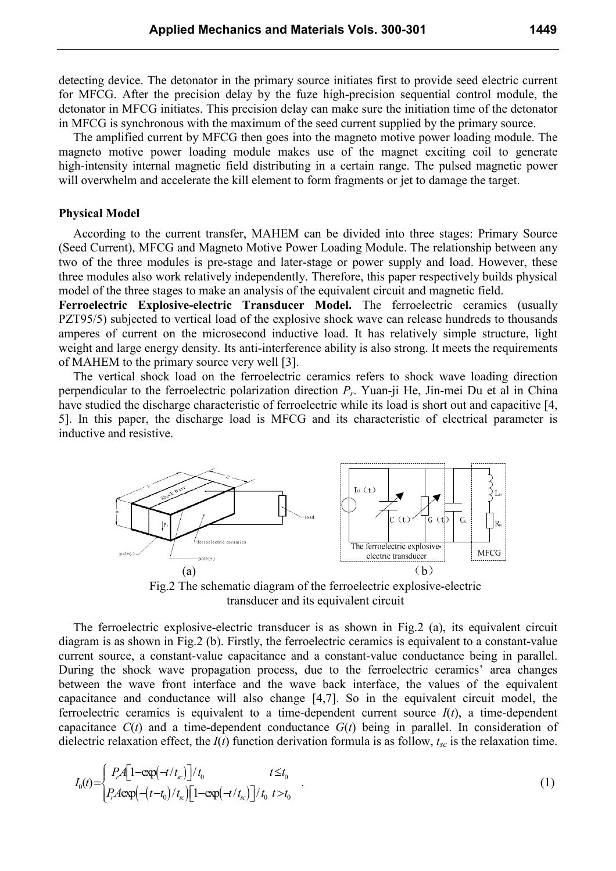detecting device. The detonator in the primary source initiates first to provide seed electric current for MFCG. After the precision delay by the fuze high-precision sequential control module, the detonator in MFCG initiates. This precision delay can make sure the initiation time of the detonator in MFCG is synchronous with the maximum of the seed current supplied by the primary source.

The amplified current by MFCG then goes into the magneto motive power loading module. The magneto motive power loading module makes use of the magnet exciting coil to generate high-intensity internal magnetic field distributing in a certain range. The pulsed magnetic power will overwhelm and accelerate the kill element to form fragments or jet to damage the target.

#### **Physical Model**

According to the current transfer, MAHEM can be divided into three stages: Primary Source (Seed Current), MFCG and Magneto Motive Power Loading Module. The relationship between any two of the three modules is pre-stage and later-stage or power supply and load. However, these three modules also work relatively independently. Therefore, this paper respectively builds physical model of the three stages to make an analysis of the equivalent circuit and magnetic field.

**Ferroelectric Explosive-electric Transducer Model.** The ferroelectric ceramics (usually PZT95/5) subjected to vertical load of the explosive shock wave can release hundreds to thousands amperes of current on the microsecond inductive load. It has relatively simple structure, light weight and large energy density. Its anti-interference ability is also strong. It meets the requirements of MAHEM to the primary source very well [3].

The vertical shock load on the ferroelectric ceramics refers to shock wave loading direction perpendicular to the ferroelectric polarization direction *Pr*. Yuan-ji He, Jin-mei Du et al in China have studied the discharge characteristic of ferroelectric while its load is short out and capacitive [4, 5]. In this paper, the discharge load is MFCG and its characteristic of electrical parameter is inductive and resistive.



Fig.2 The schematic diagram of the ferroelectric explosive-electric transducer and its equivalent circuit

The ferroelectric explosive-electric transducer is as shown in Fig.2 (a), its equivalent circuit diagram is as shown in Fig.2 (b). Firstly, the ferroelectric ceramics is equivalent to a constant-value current source, a constant-value capacitance and a constant-value conductance being in parallel. During the shock wave propagation process, due to the ferroelectric ceramics' area changes between the wave front interface and the wave back interface, the values of the equivalent capacitance and conductance will also change [4,7]. So in the equivalent circuit model, the ferroelectric ceramics is equivalent to a time-dependent current source  $I(t)$ , a time-dependent capacitance  $C(t)$  and a time-dependent conductance  $G(t)$  being in parallel. In consideration of dielectric relaxation effect, the *I*(*t*) function derivation formula is as follow, *tsc* is the relaxation time.

$$
I_0(t) = \begin{cases} P_r A \left[ 1 - \exp(-t/t_x) \right] / t_0 & t \le t_0 \\ P_r A \exp\left(-(t-t_0)/t_x \right) \left[ 1 - \exp(-t/t_x) \right] / t_0 & t > t_0 \end{cases} \tag{1}
$$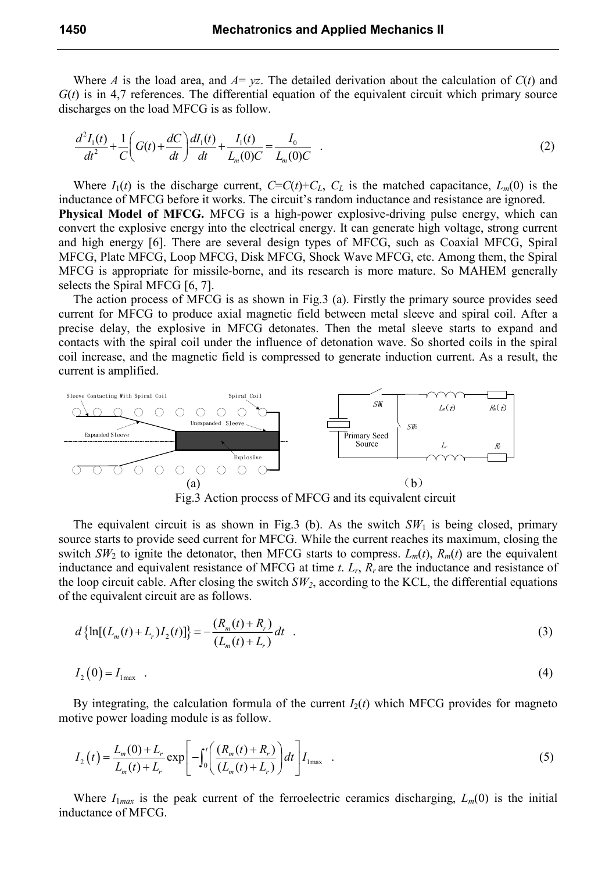Where *A* is the load area, and  $A = yz$ . The detailed derivation about the calculation of  $C(t)$  and  $G(t)$  is in 4,7 references. The differential equation of the equivalent circuit which primary source discharges on the load MFCG is as follow.

$$
\frac{d^2I_1(t)}{dt^2} + \frac{1}{C}\left(G(t) + \frac{dC}{dt}\right)\frac{dI_1(t)}{dt} + \frac{I_1(t)}{L_m(0)C} = \frac{I_0}{L_m(0)C} \quad .
$$
\n(2)

Where  $I_1(t)$  is the discharge current,  $C=C(t)+C_L$ ,  $C_L$  is the matched capacitance,  $L_m(0)$  is the inductance of MFCG before it works. The circuit's random inductance and resistance are ignored. **Physical Model of MFCG.** MFCG is a high-power explosive-driving pulse energy, which can

convert the explosive energy into the electrical energy. It can generate high voltage, strong current and high energy [6]. There are several design types of MFCG, such as Coaxial MFCG, Spiral MFCG, Plate MFCG, Loop MFCG, Disk MFCG, Shock Wave MFCG, etc. Among them, the Spiral MFCG is appropriate for missile-borne, and its research is more mature. So MAHEM generally selects the Spiral MFCG [6, 7].

The action process of MFCG is as shown in Fig.3 (a). Firstly the primary source provides seed current for MFCG to produce axial magnetic field between metal sleeve and spiral coil. After a precise delay, the explosive in MFCG detonates. Then the metal sleeve starts to expand and contacts with the spiral coil under the influence of detonation wave. So shorted coils in the spiral coil increase, and the magnetic field is compressed to generate induction current. As a result, the current is amplified.



The equivalent circuit is as shown in Fig.3 (b). As the switch  $SW<sub>1</sub>$  is being closed, primary source starts to provide seed current for MFCG. While the current reaches its maximum, closing the switch *SW*<sub>2</sub> to ignite the detonator, then MFCG starts to compress.  $L_m(t)$ ,  $R_m(t)$  are the equivalent inductance and equivalent resistance of MFCG at time  $t$ .  $L_r$ ,  $R_r$  are the inductance and resistance of the loop circuit cable. After closing the switch  $SW_2$ , according to the KCL, the differential equations of the equivalent circuit are as follows.

$$
d\left\{\ln[(L_m(t)+L_r)I_2(t)]\right\} = -\frac{(R_m(t)+R_r)}{(L_m(t)+L_r)}dt
$$
\n(3)

$$
I_2(0) = I_{1\text{max}} \quad . \tag{4}
$$

By integrating, the calculation formula of the current  $I_2(t)$  which MFCG provides for magneto motive power loading module is as follow.

$$
I_2(t) = \frac{L_m(0) + L_r}{L_m(t) + L_r} \exp\left[-\int_0^t \left(\frac{(R_m(t) + R_r)}{(L_m(t) + L_r)}\right) dt\right] I_{1\text{max}}\tag{5}
$$

Where  $I_{1max}$  is the peak current of the ferroelectric ceramics discharging,  $L_m(0)$  is the initial inductance of MFCG.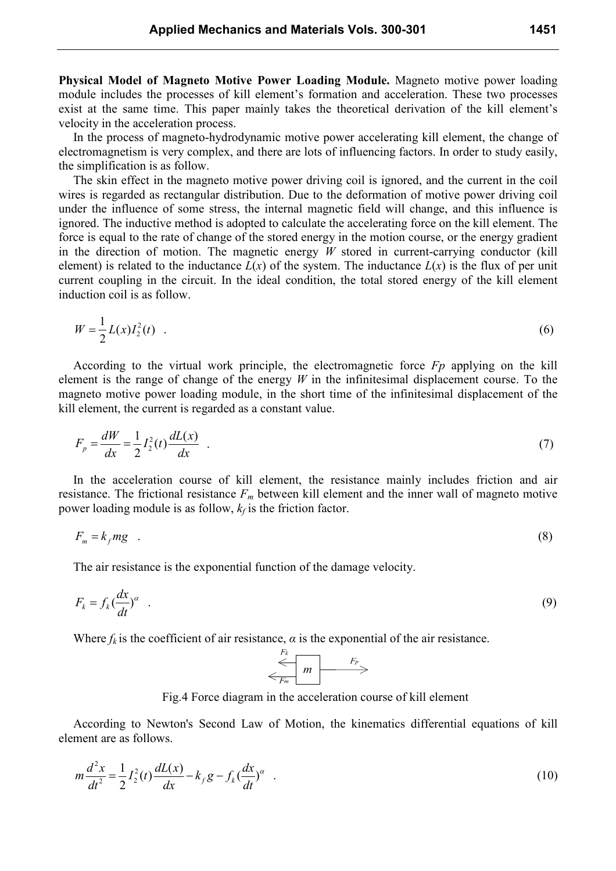**Physical Model of Magneto Motive Power Loading Module.** Magneto motive power loading module includes the processes of kill element's formation and acceleration. These two processes exist at the same time. This paper mainly takes the theoretical derivation of the kill element's velocity in the acceleration process.

In the process of magneto-hydrodynamic motive power accelerating kill element, the change of electromagnetism is very complex, and there are lots of influencing factors. In order to study easily, the simplification is as follow.

The skin effect in the magneto motive power driving coil is ignored, and the current in the coil wires is regarded as rectangular distribution. Due to the deformation of motive power driving coil under the influence of some stress, the internal magnetic field will change, and this influence is ignored. The inductive method is adopted to calculate the accelerating force on the kill element. The force is equal to the rate of change of the stored energy in the motion course, or the energy gradient in the direction of motion. The magnetic energy *W* stored in current-carrying conductor (kill element) is related to the inductance  $L(x)$  of the system. The inductance  $L(x)$  is the flux of per unit current coupling in the circuit. In the ideal condition, the total stored energy of the kill element induction coil is as follow.

$$
W = \frac{1}{2}L(x)I_2^2(t) \t\t(6)
$$

According to the virtual work principle, the electromagnetic force *Fp* applying on the kill element is the range of change of the energy *W* in the infinitesimal displacement course. To the magneto motive power loading module, in the short time of the infinitesimal displacement of the kill element, the current is regarded as a constant value.

$$
F_p = \frac{dW}{dx} = \frac{1}{2}I_2^2(t)\frac{dL(x)}{dx}
$$
 (7)

In the acceleration course of kill element, the resistance mainly includes friction and air resistance. The frictional resistance *Fm* between kill element and the inner wall of magneto motive power loading module is as follow, *k<sup>f</sup>* is the friction factor.

$$
F_m = k_f mg \quad . \tag{8}
$$

The air resistance is the exponential function of the damage velocity.

$$
F_k = f_k \left(\frac{dx}{dt}\right)^\alpha \tag{9}
$$

Where  $f_k$  is the coefficient of air resistance,  $\alpha$  is the exponential of the air resistance.<br>  $\begin{array}{ccc}\nF_k \\
\hline\n\end{array}$ 



Fig.4 Force diagram in the acceleration course of kill element

According to Newton's Second Law of Motion, the kinematics differential equations of kill element are as follows.

$$
m\frac{d^2x}{dt^2} = \frac{1}{2}I_2^2(t)\frac{dL(x)}{dx} - k_f g - f_k(\frac{dx}{dt})^\alpha
$$
 (10)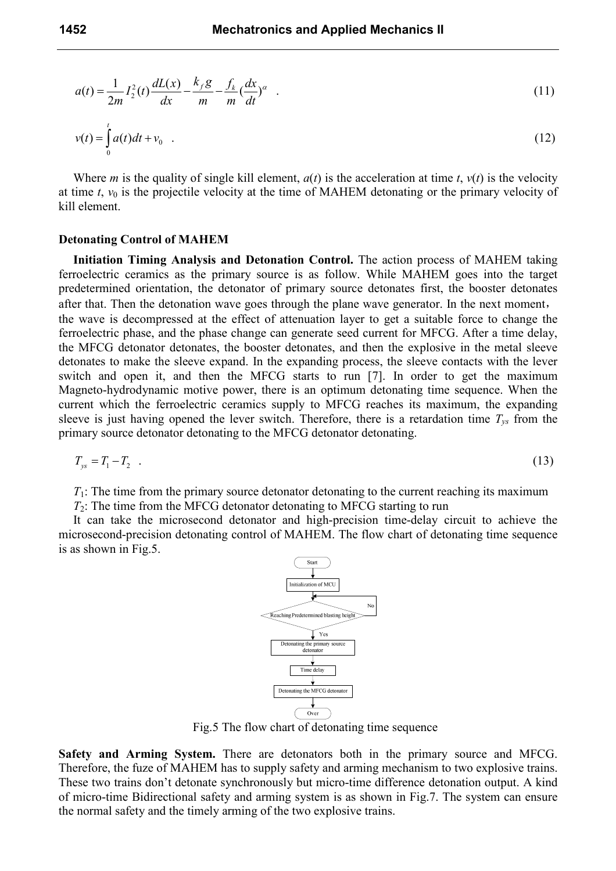$$
a(t) = \frac{1}{2m} I_2^2(t) \frac{dL(x)}{dx} - \frac{k_f g}{m} - \frac{f_k}{m} (\frac{dx}{dt})^{\alpha} .
$$
 (11)

$$
v(t) = \int_{0}^{t} a(t)dt + v_0
$$
 (12)

Where *m* is the quality of single kill element,  $a(t)$  is the acceleration at time *t*,  $v(t)$  is the velocity at time  $t$ ,  $v_0$  is the projectile velocity at the time of MAHEM detonating or the primary velocity of kill element.

#### **Detonating Control of MAHEM**

**Initiation Timing Analysis and Detonation Control.** The action process of MAHEM taking ferroelectric ceramics as the primary source is as follow. While MAHEM goes into the target predetermined orientation, the detonator of primary source detonates first, the booster detonates after that. Then the detonation wave goes through the plane wave generator. In the next moment, the wave is decompressed at the effect of attenuation layer to get a suitable force to change the ferroelectric phase, and the phase change can generate seed current for MFCG. After a time delay, the MFCG detonator detonates, the booster detonates, and then the explosive in the metal sleeve detonates to make the sleeve expand. In the expanding process, the sleeve contacts with the lever switch and open it, and then the MFCG starts to run [7]. In order to get the maximum Magneto-hydrodynamic motive power, there is an optimum detonating time sequence. When the current which the ferroelectric ceramics supply to MFCG reaches its maximum, the expanding sleeve is just having opened the lever switch. Therefore, there is a retardation time  $T_{\text{ys}}$  from the primary source detonator detonating to the MFCG detonator detonating.

$$
T_{ys} = T_1 - T_2 \tag{13}
$$

 $T_1$ : The time from the primary source detonator detonating to the current reaching its maximum

*T*2: The time from the MFCG detonator detonating to MFCG starting to run

It can take the microsecond detonator and high-precision time-delay circuit to achieve the microsecond-precision detonating control of MAHEM. The flow chart of detonating time sequence is as shown in Fig.5.



Fig.5 The flow chart of detonating time sequence

**Safety and Arming System.** There are detonators both in the primary source and MFCG. Therefore, the fuze of MAHEM has to supply safety and arming mechanism to two explosive trains. These two trains don't detonate synchronously but micro-time difference detonation output. A kind of micro-time Bidirectional safety and arming system is as shown in Fig.7. The system can ensure the normal safety and the timely arming of the two explosive trains.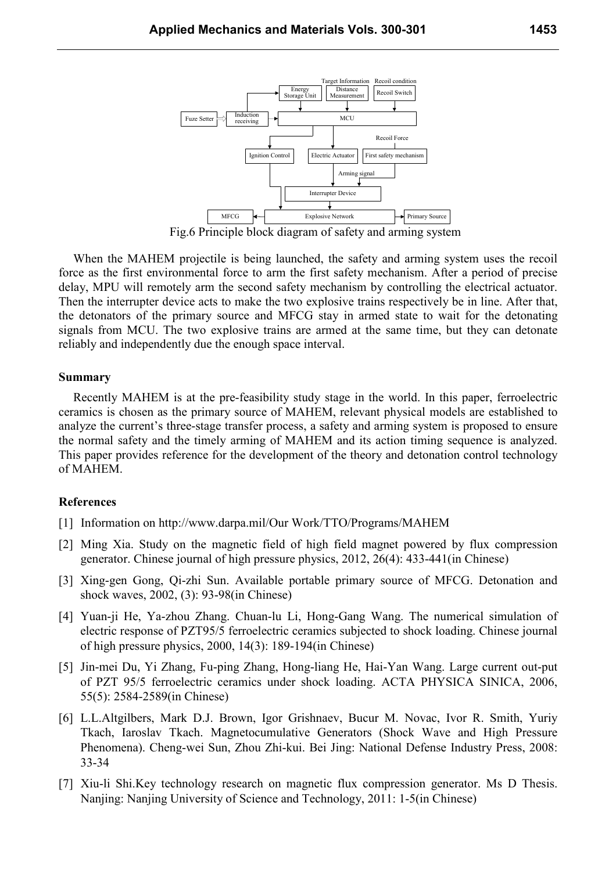



When the MAHEM projectile is being launched, the safety and arming system uses the recoil

force as the first environmental force to arm the first safety mechanism. After a period of precise delay, MPU will remotely arm the second safety mechanism by controlling the electrical actuator. Then the interrupter device acts to make the two explosive trains respectively be in line. After that, the detonators of the primary source and MFCG stay in armed state to wait for the detonating signals from MCU. The two explosive trains are armed at the same time, but they can detonate reliably and independently due the enough space interval.

#### **Summary**

Recently MAHEM is at the pre-feasibility study stage in the world. In this paper, ferroelectric ceramics is chosen as the primary source of MAHEM, relevant physical models are established to analyze the current's three-stage transfer process, a safety and arming system is proposed to ensure the normal safety and the timely arming of MAHEM and its action timing sequence is analyzed. This paper provides reference for the development of the theory and detonation control technology of MAHEM.

### **References**

- [1] Information on http://www.darpa.mil/Our Work/TTO/Programs/MAHEM
- [2] Ming Xia. Study on the magnetic field of high field magnet powered by flux compression generator. Chinese journal of high pressure physics, 2012, 26(4): 433-441(in Chinese)
- [3] Xing-gen Gong, Qi-zhi Sun. Available portable primary source of MFCG. Detonation and shock waves, 2002, (3): 93-98(in Chinese)
- [4] Yuan-ji He, Ya-zhou Zhang. Chuan-lu Li, Hong-Gang Wang. The numerical simulation of electric response of PZT95/5 ferroelectric ceramics subjected to shock loading. Chinese journal of high pressure physics, 2000, 14(3): 189-194(in Chinese)
- [5] Jin-mei Du, Yi Zhang, Fu-ping Zhang, Hong-liang He, Hai-Yan Wang. Large current out-put of PZT 95/5 ferroelectric ceramics under shock loading. ACTA PHYSICA SINICA, 2006, 55(5): 2584-2589(in Chinese)
- [6] L.L.Altgilbers, Mark D.J. Brown, Igor Grishnaev, Bucur M. Novac, Ivor R. Smith, Yuriy Tkach, Iaroslav Tkach. Magnetocumulative Generators (Shock Wave and High Pressure Phenomena). Cheng-wei Sun, Zhou Zhi-kui. Bei Jing: National Defense Industry Press, 2008: 33-34
- [7] Xiu-li Shi.Key technology research on magnetic flux compression generator. Ms D Thesis. Nanjing: Nanjing University of Science and Technology, 2011: 1-5(in Chinese)